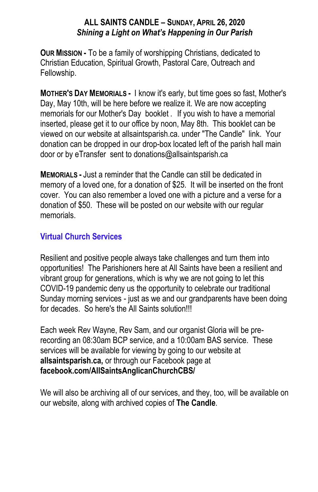### **ALL SAINTS CANDLE – SUNDAY, APRIL 26, 2020** *Shining a Light on What's Happening in Our Parish*

**OUR MISSION -** To be a family of worshipping Christians, dedicated to Christian Education, Spiritual Growth, Pastoral Care, Outreach and Fellowship.

**MOTHER'S DAY MEMORIALS -** I know it's early, but time goes so fast, Mother's Day, May 10th, will be here before we realize it. We are now accepting memorials for our Mother's Day booklet . If you wish to have a memorial inserted, please get it to our office by noon, May 8th. This booklet can be viewed on our website at allsaintsparish.ca. under "The Candle" link. Your donation can be dropped in our drop-box located left of the parish hall main door or by eTransfer sent to donations@allsaintsparish.ca

**MEMORIALS -** Just a reminder that the Candle can still be dedicated in memory of a loved one, for a donation of \$25. It will be inserted on the front cover. You can also remember a loved one with a picture and a verse for a donation of \$50. These will be posted on our website with our regular memorials.

## **Virtual Church Services**

Resilient and positive people always take challenges and turn them into opportunities! The Parishioners here at All Saints have been a resilient and vibrant group for generations, which is why we are not going to let this COVID-19 pandemic deny us the opportunity to celebrate our traditional Sunday morning services - just as we and our grandparents have been doing for decades. So here's the All Saints solution!!!

Each week Rev Wayne, Rev Sam, and our organist Gloria will be prerecording an 08:30am BCP service, and a 10:00am BAS service. These services will be available for viewing by going to our website at **allsaintsparish.ca,** or through our Facebook page at **facebook.com/AllSaintsAnglicanChurchCBS/**

We will also be archiving all of our services, and they, too, will be available on our website, along with archived copies of **The Candle**.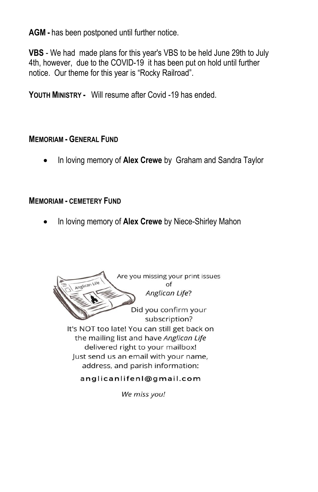**AGM -** has been postponed until further notice.

**VBS** - We had made plans for this year's VBS to be held June 29th to July 4th, however, due to the COVID-19 it has been put on hold until further notice. Our theme for this year is "Rocky Railroad".

**YOUTH MINISTRY -** Will resume after Covid -19 has ended.

### **MEMORIAM - GENERAL FUND**

In loving memory of **Alex Crewe** by Graham and Sandra Taylor

### **MEMORIAM - CEMETERY FUND**

In loving memory of **Alex Crewe** by Niece-Shirley Mahon



We miss you!